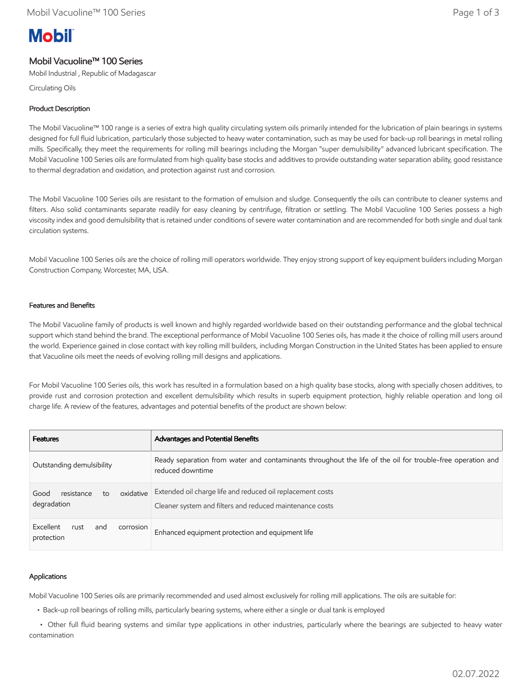# **Mobil**

# Mobil Vacuoline™ 100 Series

Mobil Industrial , Republic of Madagascar

Circulating Oils

## Product Description

The Mobil Vacuoline™ 100 range is a series of extra high quality circulating system oils primarily intended for the lubrication of plain bearings in systems designed for full fluid lubrication, particularly those subjected to heavy water contamination, such as may be used for back-up roll bearings in metal rolling mills. Specifically, they meet the requirements for rolling mill bearings including the Morgan "super demulsibility" advanced lubricant specification. The Mobil Vacuoline 100 Series oils are formulated from high quality base stocks and additives to provide outstanding water separation ability, good resistance to thermal degradation and oxidation, and protection against rust and corrosion.

The Mobil Vacuoline 100 Series oils are resistant to the formation of emulsion and sludge. Consequently the oils can contribute to cleaner systems and filters. Also solid contaminants separate readily for easy cleaning by centrifuge, filtration or settling. The Mobil Vacuoline 100 Series possess a high viscosity index and good demulsibility that is retained under conditions of severe water contamination and are recommended for both single and dual tank circulation systems.

Mobil Vacuoline 100 Series oils are the choice of rolling mill operators worldwide. They enjoy strong support of key equipment builders including Morgan Construction Company, Worcester, MA, USA.

## Features and Benefits

The Mobil Vacuoline family of products is well known and highly regarded worldwide based on their outstanding performance and the global technical support which stand behind the brand. The exceptional performance of Mobil Vacuoline 100 Series oils, has made it the choice of rolling mill users around the world. Experience gained in close contact with key rolling mill builders, including Morgan Construction in the United States has been applied to ensure that Vacuoline oils meet the needs of evolving rolling mill designs and applications.

For Mobil Vacuoline 100 Series oils, this work has resulted in a formulation based on a high quality base stocks, along with specially chosen additives, to provide rust and corrosion protection and excellent demulsibility which results in superb equipment protection, highly reliable operation and long oil charge life. A review of the features, advantages and potential benefits of the product are shown below:

| <b>Features</b>                                      | Advantages and Potential Benefits                                                                                              |  |  |
|------------------------------------------------------|--------------------------------------------------------------------------------------------------------------------------------|--|--|
| Outstanding demulsibility                            | Ready separation from water and contaminants throughout the life of the oil for trouble-free operation and<br>reduced downtime |  |  |
| oxidative<br>resistance<br>Good<br>to<br>degradation | Extended oil charge life and reduced oil replacement costs<br>Cleaner system and filters and reduced maintenance costs         |  |  |
| Excellent<br>rust<br>corrosion<br>and<br>protection  | Enhanced equipment protection and equipment life                                                                               |  |  |

## Applications

Mobil Vacuoline 100 Series oils are primarily recommended and used almost exclusively for rolling mill applications. The oils are suitable for:

• Back-up roll bearings of rolling mills, particularly bearing systems, where either a single or dual tank is employed

 • Other full fluid bearing systems and similar type applications in other industries, particularly where the bearings are subjected to heavy water contamination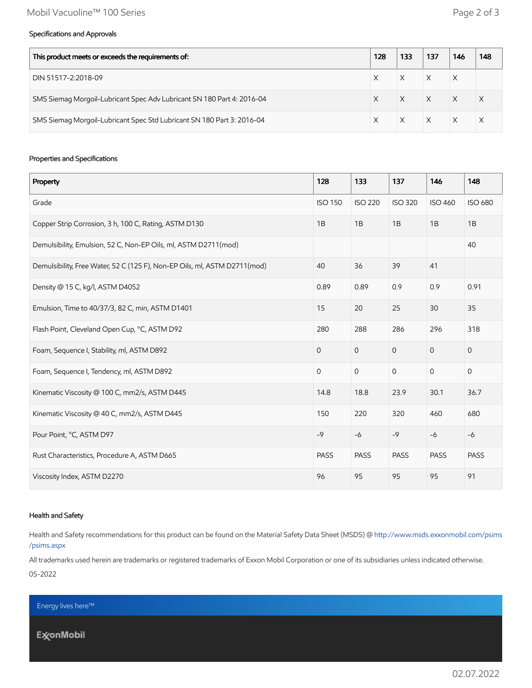#### Specifications and Approvals

| This product meets or exceeds the requirements of:                     |  | 133 | 137      | 146      | 148 |
|------------------------------------------------------------------------|--|-----|----------|----------|-----|
| DIN 51517-2:2018-09                                                    |  |     |          | X        |     |
| SMS Siemag Morgoil-Lubricant Spec Adv Lubricant SN 180 Part 4: 2016-04 |  |     | $\times$ | $\times$ |     |
| SMS Siemag Morgoil-Lubricant Spec Std Lubricant SN 180 Part 3: 2016-04 |  |     | $\times$ |          |     |

#### Properties and Specifications

| Property                                                                  | 128            | 133            | 137            | 146            | 148                 |
|---------------------------------------------------------------------------|----------------|----------------|----------------|----------------|---------------------|
| Grade                                                                     | <b>ISO 150</b> | <b>ISO 220</b> | <b>ISO 320</b> | <b>ISO 460</b> | <b>ISO 680</b>      |
| Copper Strip Corrosion, 3 h, 100 C, Rating, ASTM D130                     | 1B             | 1B             | 1B             | 1B             | 1B                  |
| Demulsibility, Emulsion, 52 C, Non-EP Oils, ml, ASTM D2711(mod)           |                |                |                |                | 40                  |
| Demulsibility, Free Water, 52 C (125 F), Non-EP Oils, ml, ASTM D2711(mod) | 40             | 36             | 39             | 41             |                     |
| Density @ 15 C, kg/l, ASTM D4052                                          | 0.89           | 0.89           | 0.9            | 0.9            | 0.91                |
| Emulsion, Time to 40/37/3, 82 C, min, ASTM D1401                          | 15             | 20             | 25             | 30             | 35                  |
| Flash Point, Cleveland Open Cup, °C, ASTM D92                             | 280            | 288            | 286            | 296            | 318                 |
| Foam, Sequence I, Stability, ml, ASTM D892                                | $\overline{O}$ | $\overline{0}$ | $\mathbf{O}$   | $\overline{0}$ | $\mathsf{O}\xspace$ |
| Foam, Sequence I, Tendency, ml, ASTM D892                                 | $\mathbf 0$    | $\mathbf 0$    | $\mathbf 0$    | $\overline{0}$ | $\mathsf{O}\xspace$ |
| Kinematic Viscosity @ 100 C, mm2/s, ASTM D445                             | 14.8           | 18.8           | 23.9           | 30.1           | 36.7                |
| Kinematic Viscosity @ 40 C, mm2/s, ASTM D445                              | 150            | 220            | 320            | 460            | 680                 |
| Pour Point, °C, ASTM D97                                                  | $-9$           | $-6$           | $-9$           | $-6$           | $-6$                |
| Rust Characteristics, Procedure A, ASTM D665                              | <b>PASS</b>    | <b>PASS</b>    | <b>PASS</b>    | <b>PASS</b>    | <b>PASS</b>         |
| Viscosity Index, ASTM D2270                                               | 96             | 95             | 95             | 95             | 91                  |

#### Health and Safety

Health and Safety recommendations for this product can be found on the Material Safety Data Sheet (MSDS) @ [http://www.msds.exxonmobil.com/psims](http://www.msds.exxonmobil.com/psims/psims.aspx) /psims.aspx

All trademarks used herein are trademarks or registered trademarks of Exxon Mobil Corporation or one of its subsidiaries unless indicated otherwise.

05-2022

Energy lives here™

**ExconMobil**